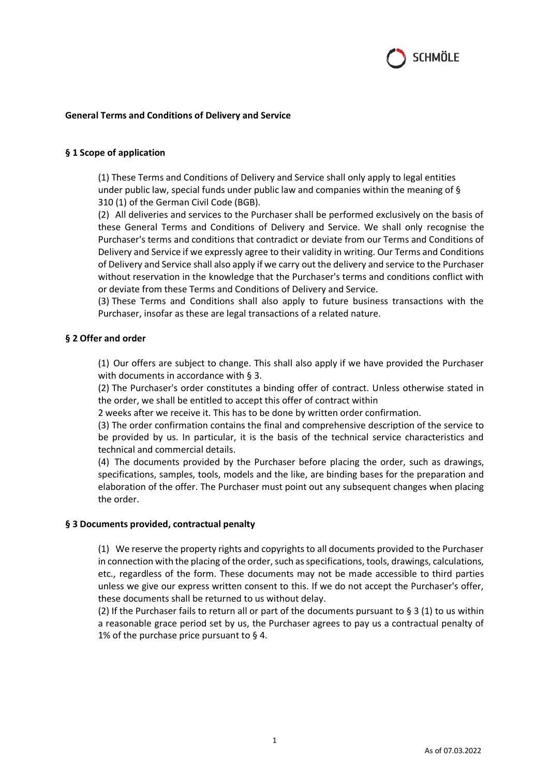

# **General Terms and Conditions of Delivery and Service**

## **§ 1 Scope of application**

(1) These Terms and Conditions of Delivery and Service shall only apply to legal entities under public law, special funds under public law and companies within the meaning of § 310 (1) of the German Civil Code (BGB).

(2) All deliveries and services to the Purchaser shall be performed exclusively on the basis of these General Terms and Conditions of Delivery and Service. We shall only recognise the Purchaser's terms and conditions that contradict or deviate from our Terms and Conditions of Delivery and Service if we expressly agree to their validity in writing. Our Terms and Conditions of Delivery and Service shall also apply if we carry out the delivery and service to the Purchaser without reservation in the knowledge that the Purchaser's terms and conditions conflict with or deviate from these Terms and Conditions of Delivery and Service.

(3) These Terms and Conditions shall also apply to future business transactions with the Purchaser, insofar as these are legal transactions of a related nature.

## **§ 2 Offer and order**

(1) Our offers are subject to change. This shall also apply if we have provided the Purchaser with documents in accordance with § 3.

(2) The Purchaser's order constitutes a binding offer of contract. Unless otherwise stated in the order, we shall be entitled to accept this offer of contract within

2 weeks after we receive it. This has to be done by written order confirmation.

(3) The order confirmation contains the final and comprehensive description of the service to be provided by us. In particular, it is the basis of the technical service characteristics and technical and commercial details.

(4) The documents provided by the Purchaser before placing the order, such as drawings, specifications, samples, tools, models and the like, are binding bases for the preparation and elaboration of the offer. The Purchaser must point out any subsequent changes when placing the order.

#### **§ 3 Documents provided, contractual penalty**

(1) We reserve the property rights and copyrights to all documents provided to the Purchaser in connection with the placing of the order, such as specifications, tools, drawings, calculations, etc., regardless of the form. These documents may not be made accessible to third parties unless we give our express written consent to this. If we do not accept the Purchaser's offer, these documents shall be returned to us without delay.

(2) If the Purchaser fails to return all or part of the documents pursuant to § 3 (1) to us within a reasonable grace period set by us, the Purchaser agrees to pay us a contractual penalty of 1% of the purchase price pursuant to  $\S$  4.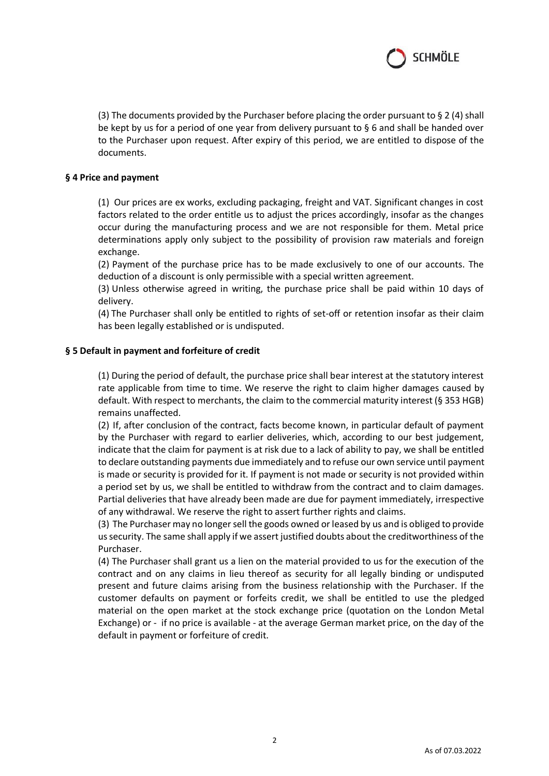

(3) The documents provided by the Purchaser before placing the order pursuant to § 2 (4) shall be kept by us for a period of one year from delivery pursuant to § 6 and shall be handed over to the Purchaser upon request. After expiry of this period, we are entitled to dispose of the documents.

### **§ 4 Price and payment**

(1) Our prices are ex works, excluding packaging, freight and VAT. Significant changes in cost factors related to the order entitle us to adjust the prices accordingly, insofar as the changes occur during the manufacturing process and we are not responsible for them. Metal price determinations apply only subject to the possibility of provision raw materials and foreign exchange.

(2) Payment of the purchase price has to be made exclusively to one of our accounts. The deduction of a discount is only permissible with a special written agreement.

(3) Unless otherwise agreed in writing, the purchase price shall be paid within 10 days of delivery.

(4) The Purchaser shall only be entitled to rights of set-off or retention insofar as their claim has been legally established or is undisputed.

## **§ 5 Default in payment and forfeiture of credit**

(1) During the period of default, the purchase price shall bear interest at the statutory interest rate applicable from time to time. We reserve the right to claim higher damages caused by default. With respect to merchants, the claim to the commercial maturity interest (§ 353 HGB) remains unaffected.

(2) If, after conclusion of the contract, facts become known, in particular default of payment by the Purchaser with regard to earlier deliveries, which, according to our best judgement, indicate that the claim for payment is at risk due to a lack of ability to pay, we shall be entitled to declare outstanding payments due immediately and to refuse our own service until payment is made or security is provided for it. If payment is not made or security is not provided within a period set by us, we shall be entitled to withdraw from the contract and to claim damages. Partial deliveries that have already been made are due for payment immediately, irrespective of any withdrawal. We reserve the right to assert further rights and claims.

(3) The Purchaser may no longer sell the goods owned or leased by us and is obliged to provide us security. The same shall apply if we assert justified doubts about the creditworthiness of the Purchaser.

(4) The Purchaser shall grant us a lien on the material provided to us for the execution of the contract and on any claims in lieu thereof as security for all legally binding or undisputed present and future claims arising from the business relationship with the Purchaser. If the customer defaults on payment or forfeits credit, we shall be entitled to use the pledged material on the open market at the stock exchange price (quotation on the London Metal Exchange) or - if no price is available - at the average German market price, on the day of the default in payment or forfeiture of credit.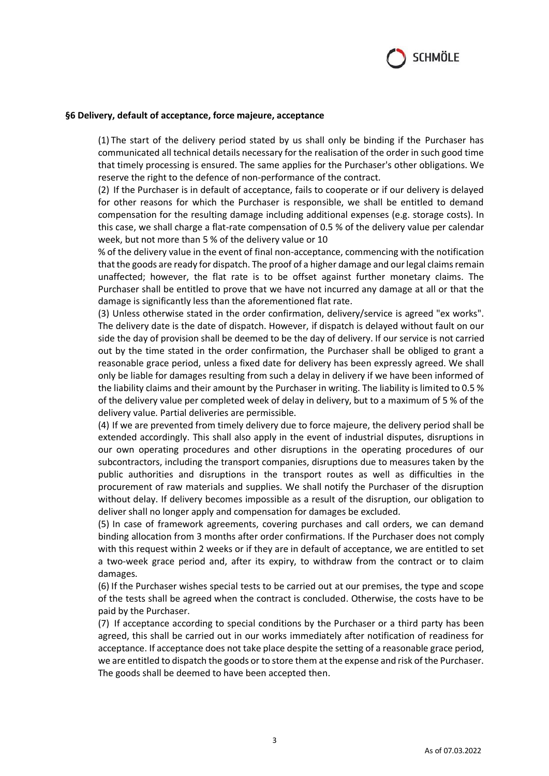

#### **§6 Delivery, default of acceptance, force majeure, acceptance**

(1) The start of the delivery period stated by us shall only be binding if the Purchaser has communicated all technical details necessary for the realisation of the order in such good time that timely processing is ensured. The same applies for the Purchaser's other obligations. We reserve the right to the defence of non-performance of the contract.

(2) If the Purchaser is in default of acceptance, fails to cooperate or if our delivery is delayed for other reasons for which the Purchaser is responsible, we shall be entitled to demand compensation for the resulting damage including additional expenses (e.g. storage costs). In this case, we shall charge a flat-rate compensation of 0.5 % of the delivery value per calendar week, but not more than 5 % of the delivery value or 10

% of the delivery value in the event of final non-acceptance, commencing with the notification that the goods are ready for dispatch. The proof of a higher damage and our legal claims remain unaffected; however, the flat rate is to be offset against further monetary claims. The Purchaser shall be entitled to prove that we have not incurred any damage at all or that the damage is significantly less than the aforementioned flat rate.

(3) Unless otherwise stated in the order confirmation, delivery/service is agreed "ex works". The delivery date is the date of dispatch. However, if dispatch is delayed without fault on our side the day of provision shall be deemed to be the day of delivery. If our service is not carried out by the time stated in the order confirmation, the Purchaser shall be obliged to grant a reasonable grace period, unless a fixed date for delivery has been expressly agreed. We shall only be liable for damages resulting from such a delay in delivery if we have been informed of the liability claims and their amount by the Purchaser in writing. The liability is limited to 0.5 % of the delivery value per completed week of delay in delivery, but to a maximum of 5 % of the delivery value. Partial deliveries are permissible.

(4) If we are prevented from timely delivery due to force majeure, the delivery period shall be extended accordingly. This shall also apply in the event of industrial disputes, disruptions in our own operating procedures and other disruptions in the operating procedures of our subcontractors, including the transport companies, disruptions due to measures taken by the public authorities and disruptions in the transport routes as well as difficulties in the procurement of raw materials and supplies. We shall notify the Purchaser of the disruption without delay. If delivery becomes impossible as a result of the disruption, our obligation to deliver shall no longer apply and compensation for damages be excluded.

(5) In case of framework agreements, covering purchases and call orders, we can demand binding allocation from 3 months after order confirmations. If the Purchaser does not comply with this request within 2 weeks or if they are in default of acceptance, we are entitled to set a two-week grace period and, after its expiry, to withdraw from the contract or to claim damages.

(6) If the Purchaser wishes special tests to be carried out at our premises, the type and scope of the tests shall be agreed when the contract is concluded. Otherwise, the costs have to be paid by the Purchaser.

(7) If acceptance according to special conditions by the Purchaser or a third party has been agreed, this shall be carried out in our works immediately after notification of readiness for acceptance. If acceptance does not take place despite the setting of a reasonable grace period, we are entitled to dispatch the goods or to store them at the expense and risk of the Purchaser. The goods shall be deemed to have been accepted then.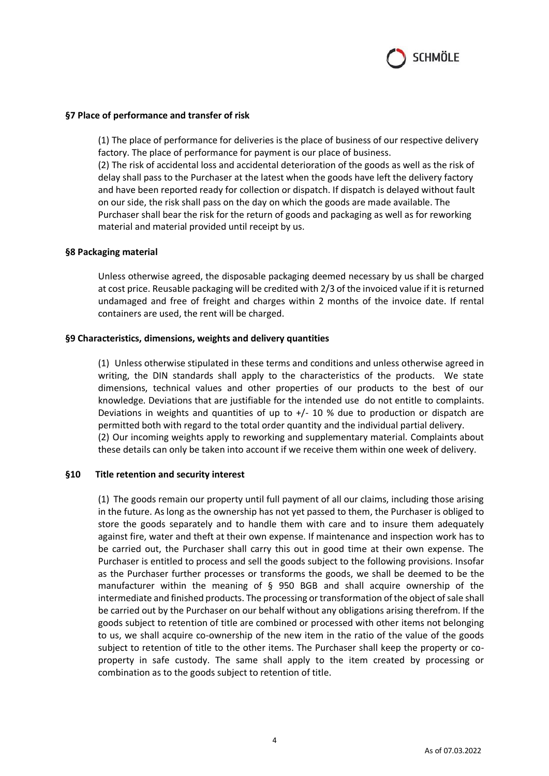

### **§7 Place of performance and transfer of risk**

(1) The place of performance for deliveries is the place of business of our respective delivery factory. The place of performance for payment is our place of business. (2) The risk of accidental loss and accidental deterioration of the goods as well as the risk of delay shall pass to the Purchaser at the latest when the goods have left the delivery factory and have been reported ready for collection or dispatch. If dispatch is delayed without fault on our side, the risk shall pass on the day on which the goods are made available. The Purchaser shall bear the risk for the return of goods and packaging as well as for reworking material and material provided until receipt by us.

#### **§8 Packaging material**

Unless otherwise agreed, the disposable packaging deemed necessary by us shall be charged at cost price. Reusable packaging will be credited with 2/3 of the invoiced value if it is returned undamaged and free of freight and charges within 2 months of the invoice date. If rental containers are used, the rent will be charged.

#### **§9 Characteristics, dimensions, weights and delivery quantities**

(1) Unless otherwise stipulated in these terms and conditions and unless otherwise agreed in writing, the DIN standards shall apply to the characteristics of the products. We state dimensions, technical values and other properties of our products to the best of our knowledge. Deviations that are justifiable for the intended use do not entitle to complaints. Deviations in weights and quantities of up to  $+/$  10 % due to production or dispatch are permitted both with regard to the total order quantity and the individual partial delivery. (2) Our incoming weights apply to reworking and supplementary material. Complaints about these details can only be taken into account if we receive them within one week of delivery.

#### **§10 Title retention and security interest**

(1) The goods remain our property until full payment of all our claims, including those arising in the future. As long as the ownership has not yet passed to them, the Purchaser is obliged to store the goods separately and to handle them with care and to insure them adequately against fire, water and theft at their own expense. If maintenance and inspection work has to be carried out, the Purchaser shall carry this out in good time at their own expense. The Purchaser is entitled to process and sell the goods subject to the following provisions. Insofar as the Purchaser further processes or transforms the goods, we shall be deemed to be the manufacturer within the meaning of § 950 BGB and shall acquire ownership of the intermediate and finished products. The processing or transformation of the object of sale shall be carried out by the Purchaser on our behalf without any obligations arising therefrom. If the goods subject to retention of title are combined or processed with other items not belonging to us, we shall acquire co-ownership of the new item in the ratio of the value of the goods subject to retention of title to the other items. The Purchaser shall keep the property or coproperty in safe custody. The same shall apply to the item created by processing or combination as to the goods subject to retention of title.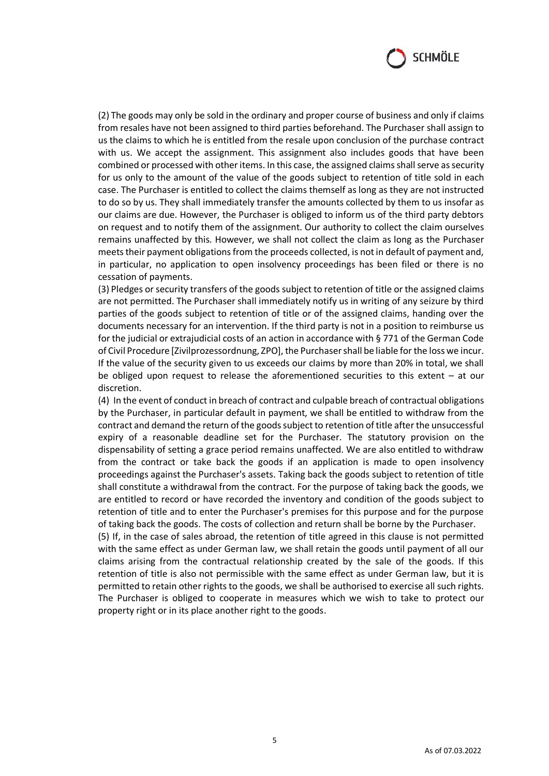

(2) The goods may only be sold in the ordinary and proper course of business and only if claims from resales have not been assigned to third parties beforehand. The Purchaser shall assign to us the claims to which he is entitled from the resale upon conclusion of the purchase contract with us. We accept the assignment. This assignment also includes goods that have been combined or processed with other items. In this case, the assigned claims shall serve as security for us only to the amount of the value of the goods subject to retention of title sold in each case. The Purchaser is entitled to collect the claims themself as long as they are not instructed to do so by us. They shall immediately transfer the amounts collected by them to us insofar as our claims are due. However, the Purchaser is obliged to inform us of the third party debtors on request and to notify them of the assignment. Our authority to collect the claim ourselves remains unaffected by this. However, we shall not collect the claim as long as the Purchaser meets their payment obligations from the proceeds collected, is not in default of payment and, in particular, no application to open insolvency proceedings has been filed or there is no cessation of payments.

(3) Pledges or security transfers of the goods subject to retention of title or the assigned claims are not permitted. The Purchaser shall immediately notify us in writing of any seizure by third parties of the goods subject to retention of title or of the assigned claims, handing over the documents necessary for an intervention. If the third party is not in a position to reimburse us for the judicial or extrajudicial costs of an action in accordance with § 771 of the German Code of Civil Procedure [Zivilprozessordnung, ZPO], the Purchaser shall be liable for the loss we incur. If the value of the security given to us exceeds our claims by more than 20% in total, we shall be obliged upon request to release the aforementioned securities to this extent – at our discretion.

(4) In the event of conduct in breach of contract and culpable breach of contractual obligations by the Purchaser, in particular default in payment, we shall be entitled to withdraw from the contract and demand the return of the goods subject to retention of title after the unsuccessful expiry of a reasonable deadline set for the Purchaser. The statutory provision on the dispensability of setting a grace period remains unaffected. We are also entitled to withdraw from the contract or take back the goods if an application is made to open insolvency proceedings against the Purchaser's assets. Taking back the goods subject to retention of title shall constitute a withdrawal from the contract. For the purpose of taking back the goods, we are entitled to record or have recorded the inventory and condition of the goods subject to retention of title and to enter the Purchaser's premises for this purpose and for the purpose of taking back the goods. The costs of collection and return shall be borne by the Purchaser.

(5) If, in the case of sales abroad, the retention of title agreed in this clause is not permitted with the same effect as under German law, we shall retain the goods until payment of all our claims arising from the contractual relationship created by the sale of the goods. If this retention of title is also not permissible with the same effect as under German law, but it is permitted to retain other rights to the goods, we shall be authorised to exercise all such rights. The Purchaser is obliged to cooperate in measures which we wish to take to protect our property right or in its place another right to the goods.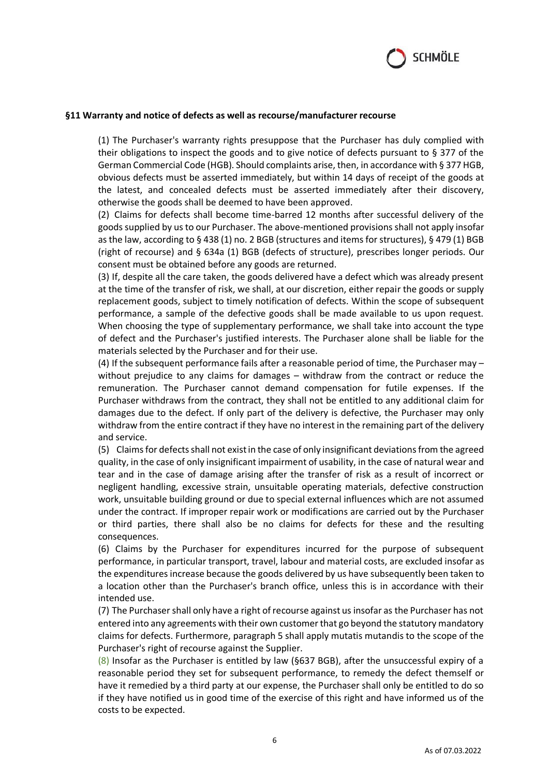

#### **§11 Warranty and notice of defects as well as recourse/manufacturer recourse**

(1) The Purchaser's warranty rights presuppose that the Purchaser has duly complied with their obligations to inspect the goods and to give notice of defects pursuant to § 377 of the German Commercial Code (HGB). Should complaints arise, then, in accordance with § 377 HGB, obvious defects must be asserted immediately, but within 14 days of receipt of the goods at the latest, and concealed defects must be asserted immediately after their discovery, otherwise the goods shall be deemed to have been approved.

(2) Claims for defects shall become time-barred 12 months after successful delivery of the goods supplied by us to our Purchaser. The above-mentioned provisions shall not apply insofar as the law, according to § 438 (1) no. 2 BGB (structures and items for structures), § 479 (1) BGB (right of recourse) and § 634a (1) BGB (defects of structure), prescribes longer periods. Our consent must be obtained before any goods are returned.

(3) If, despite all the care taken, the goods delivered have a defect which was already present at the time of the transfer of risk, we shall, at our discretion, either repair the goods or supply replacement goods, subject to timely notification of defects. Within the scope of subsequent performance, a sample of the defective goods shall be made available to us upon request. When choosing the type of supplementary performance, we shall take into account the type of defect and the Purchaser's justified interests. The Purchaser alone shall be liable for the materials selected by the Purchaser and for their use.

(4) If the subsequent performance fails after a reasonable period of time, the Purchaser may – without prejudice to any claims for damages – withdraw from the contract or reduce the remuneration. The Purchaser cannot demand compensation for futile expenses. If the Purchaser withdraws from the contract, they shall not be entitled to any additional claim for damages due to the defect. If only part of the delivery is defective, the Purchaser may only withdraw from the entire contract if they have no interest in the remaining part of the delivery and service.

(5) Claims for defects shall not exist in the case of only insignificant deviations from the agreed quality, in the case of only insignificant impairment of usability, in the case of natural wear and tear and in the case of damage arising after the transfer of risk as a result of incorrect or negligent handling, excessive strain, unsuitable operating materials, defective construction work, unsuitable building ground or due to special external influences which are not assumed under the contract. If improper repair work or modifications are carried out by the Purchaser or third parties, there shall also be no claims for defects for these and the resulting consequences.

(6) Claims by the Purchaser for expenditures incurred for the purpose of subsequent performance, in particular transport, travel, labour and material costs, are excluded insofar as the expenditures increase because the goods delivered by us have subsequently been taken to a location other than the Purchaser's branch office, unless this is in accordance with their intended use.

(7) The Purchaser shall only have a right of recourse against us insofar as the Purchaser has not entered into any agreements with their own customer that go beyond the statutory mandatory claims for defects. Furthermore, paragraph 5 shall apply mutatis mutandis to the scope of the Purchaser's right of recourse against the Supplier.

 $(8)$  Insofar as the Purchaser is entitled by law (§637 BGB), after the unsuccessful expiry of a reasonable period they set for subsequent performance, to remedy the defect themself or have it remedied by a third party at our expense, the Purchaser shall only be entitled to do so if they have notified us in good time of the exercise of this right and have informed us of the costs to be expected.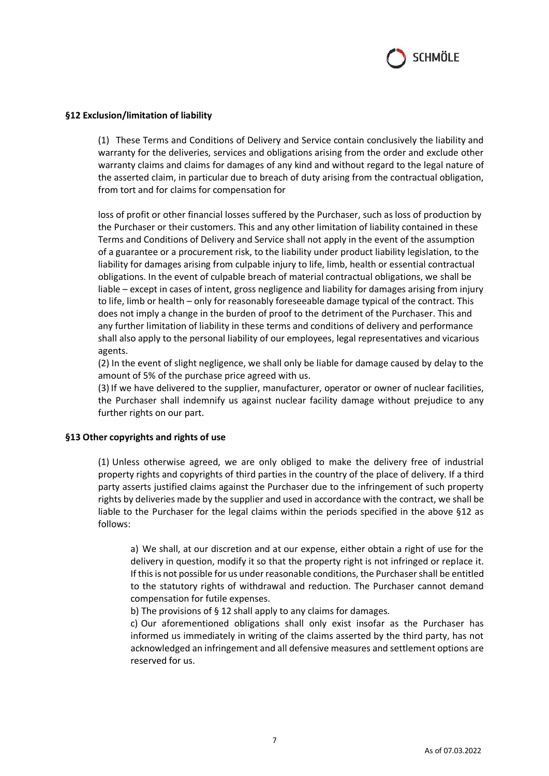

## **§12 Exclusion/limitation of liability**

(1) These Terms and Conditions of Delivery and Service contain conclusively the liability and warranty for the deliveries, services and obligations arising from the order and exclude other warranty claims and claims for damages of any kind and without regard to the legal nature of the asserted claim, in particular due to breach of duty arising from the contractual obligation, from tort and for claims for compensation for

loss of profit or other financial losses suffered by the Purchaser, such as loss of production by the Purchaser or their customers. This and any other limitation of liability contained in these Terms and Conditions of Delivery and Service shall not apply in the event of the assumption of a guarantee or a procurement risk, to the liability under product liability legislation, to the liability for damages arising from culpable injury to life, limb, health or essential contractual obligations. In the event of culpable breach of material contractual obligations, we shall be liable – except in cases of intent, gross negligence and liability for damages arising from injury to life, limb or health – only for reasonably foreseeable damage typical of the contract. This does not imply a change in the burden of proof to the detriment of the Purchaser. This and any further limitation of liability in these terms and conditions of delivery and performance shall also apply to the personal liability of our employees, legal representatives and vicarious agents.

(2) In the event of slight negligence, we shall only be liable for damage caused by delay to the amount of 5% of the purchase price agreed with us.

(3) If we have delivered to the supplier, manufacturer, operator or owner of nuclear facilities, the Purchaser shall indemnify us against nuclear facility damage without prejudice to any further rights on our part.

#### **§13 Other copyrights and rights of use**

(1) Unless otherwise agreed, we are only obliged to make the delivery free of industrial property rights and copyrights of third parties in the country of the place of delivery. If a third party asserts justified claims against the Purchaser due to the infringement of such property rights by deliveries made by the supplier and used in accordance with the contract, we shall be liable to the Purchaser for the legal claims within the periods specified in the above §12 as follows:

a) We shall, at our discretion and at our expense, either obtain a right of use for the delivery in question, modify it so that the property right is not infringed or replace it. If this is not possible for us under reasonable conditions, the Purchaser shall be entitled to the statutory rights of withdrawal and reduction. The Purchaser cannot demand compensation for futile expenses.

b) The provisions of § 12 shall apply to any claims for damages.

c) Our aforementioned obligations shall only exist insofar as the Purchaser has informed us immediately in writing of the claims asserted by the third party, has not acknowledged an infringement and all defensive measures and settlement options are reserved for us.